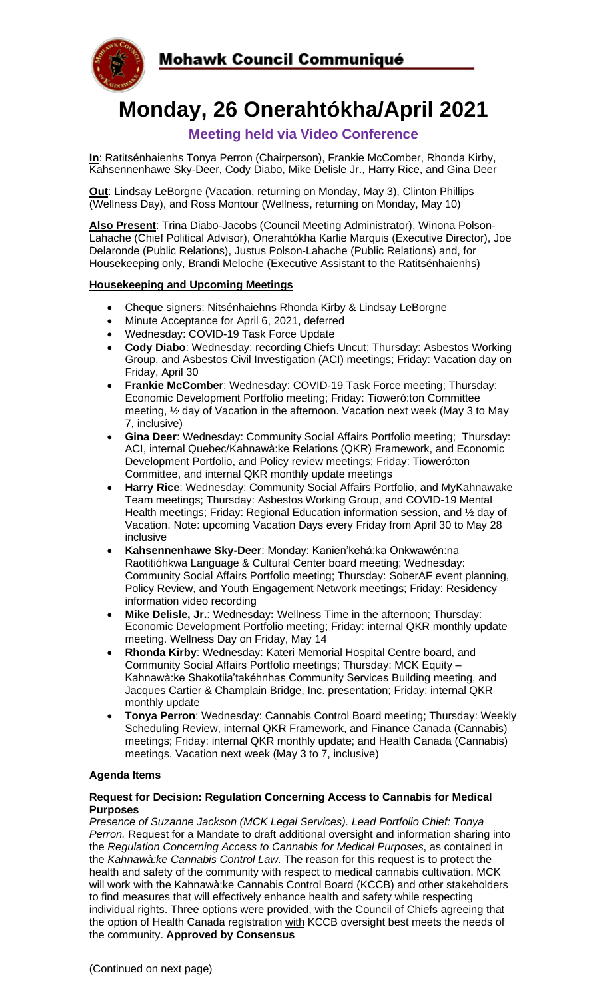

# **Monday, 26 Onerahtókha/April 2021**

# **Meeting held via Video Conference**

**In**: Ratitsénhaienhs Tonya Perron (Chairperson), Frankie McComber, Rhonda Kirby, Kahsennenhawe Sky-Deer, Cody Diabo, Mike Delisle Jr., Harry Rice, and Gina Deer

**Out**: Lindsay LeBorgne (Vacation, returning on Monday, May 3), Clinton Phillips (Wellness Day), and Ross Montour (Wellness, returning on Monday, May 10)

**Also Present**: Trina Diabo-Jacobs (Council Meeting Administrator), Winona Polson-Lahache (Chief Political Advisor), Onerahtókha Karlie Marquis (Executive Director), Joe Delaronde (Public Relations), Justus Polson-Lahache (Public Relations) and, for Housekeeping only, Brandi Meloche (Executive Assistant to the Ratitsénhaienhs)

## **Housekeeping and Upcoming Meetings**

- Cheque signers: Nitsénhaiehns Rhonda Kirby & Lindsay LeBorgne
- Minute Acceptance for April 6, 2021, deferred
- Wednesday: COVID-19 Task Force Update
- **Cody Diabo**: Wednesday: recording Chiefs Uncut; Thursday: Asbestos Working Group, and Asbestos Civil Investigation (ACI) meetings; Friday: Vacation day on Friday, April 30
- **Frankie McComber**: Wednesday: COVID-19 Task Force meeting; Thursday: Economic Development Portfolio meeting; Friday: Tioweró:ton Committee meeting, ½ day of Vacation in the afternoon. Vacation next week (May 3 to May 7, inclusive)
- **Gina Deer**: Wednesday: Community Social Affairs Portfolio meeting; Thursday: ACI, internal Quebec/Kahnawà:ke Relations (QKR) Framework, and Economic Development Portfolio, and Policy review meetings; Friday: Tioweró:ton Committee, and internal QKR monthly update meetings
- **Harry Rice**: Wednesday: Community Social Affairs Portfolio, and MyKahnawake Team meetings; Thursday: Asbestos Working Group, and COVID-19 Mental Health meetings; Friday: Regional Education information session, and ½ day of Vacation. Note: upcoming Vacation Days every Friday from April 30 to May 28 inclusive
- **Kahsennenhawe Sky-Deer**: Monday: Kanien'kehá:ka Onkwawén:na Raotitióhkwa Language & Cultural Center board meeting; Wednesday: Community Social Affairs Portfolio meeting; Thursday: SoberAF event planning, Policy Review, and Youth Engagement Network meetings; Friday: Residency information video recording
- **Mike Delisle, Jr.**: Wednesday**:** Wellness Time in the afternoon; Thursday: Economic Development Portfolio meeting; Friday: internal QKR monthly update meeting. Wellness Day on Friday, May 14
- **Rhonda Kirby**: Wednesday: Kateri Memorial Hospital Centre board, and Community Social Affairs Portfolio meetings; Thursday: MCK Equity – Kahnawà:ke Shakotiia'takéhnhas Community Services Building meeting, and Jacques Cartier & Champlain Bridge, Inc. presentation; Friday: internal QKR monthly update
- **Tonya Perron**: Wednesday: Cannabis Control Board meeting; Thursday: Weekly Scheduling Review, internal QKR Framework, and Finance Canada (Cannabis) meetings; Friday: internal QKR monthly update; and Health Canada (Cannabis) meetings. Vacation next week (May 3 to 7, inclusive)

# **Agenda Items**

#### **Request for Decision: Regulation Concerning Access to Cannabis for Medical Purposes**

*Presence of Suzanne Jackson (MCK Legal Services). Lead Portfolio Chief: Tonya Perron.* Request for a Mandate to draft additional oversight and information sharing into the *Regulation Concerning Access to Cannabis for Medical Purposes*, as contained in the *Kahnawà:ke Cannabis Control Law*. The reason for this request is to protect the health and safety of the community with respect to medical cannabis cultivation. MCK will work with the Kahnawà:ke Cannabis Control Board (KCCB) and other stakeholders to find measures that will effectively enhance health and safety while respecting individual rights. Three options were provided, with the Council of Chiefs agreeing that the option of Health Canada registration with KCCB oversight best meets the needs of the community. **Approved by Consensus**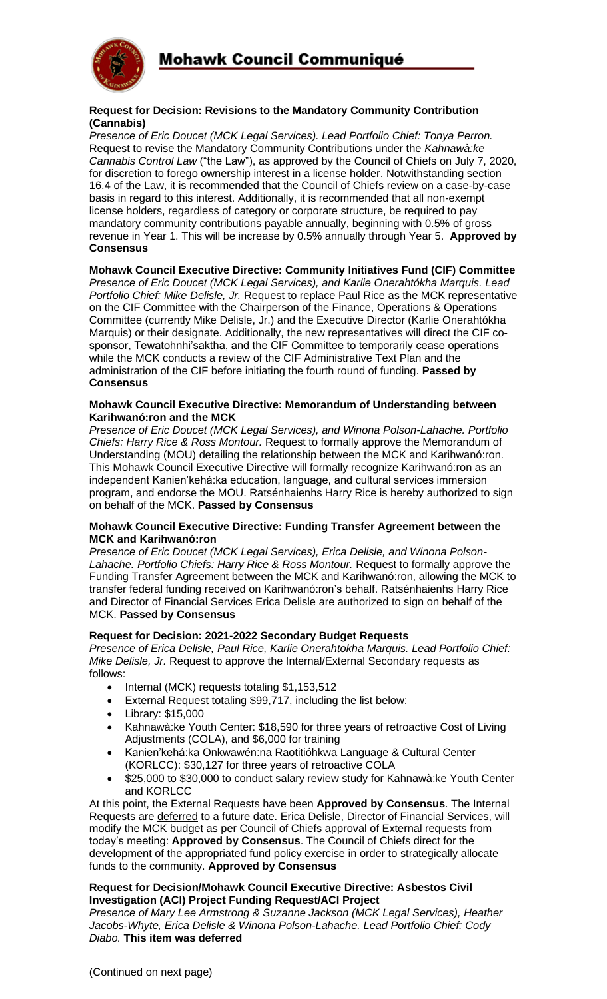

#### **Request for Decision: Revisions to the Mandatory Community Contribution (Cannabis)**

*Presence of Eric Doucet (MCK Legal Services). Lead Portfolio Chief: Tonya Perron.*  Request to revise the Mandatory Community Contributions under the *Kahnawà:ke Cannabis Control Law* ("the Law"), as approved by the Council of Chiefs on July 7, 2020, for discretion to forego ownership interest in a license holder. Notwithstanding section 16.4 of the Law, it is recommended that the Council of Chiefs review on a case-by-case basis in regard to this interest. Additionally, it is recommended that all non-exempt license holders, regardless of category or corporate structure, be required to pay mandatory community contributions payable annually, beginning with 0.5% of gross revenue in Year 1. This will be increase by 0.5% annually through Year 5. **Approved by Consensus**

## **Mohawk Council Executive Directive: Community Initiatives Fund (CIF) Committee**

*Presence of Eric Doucet (MCK Legal Services), and Karlie Onerahtókha Marquis. Lead Portfolio Chief: Mike Delisle, Jr.* Request to replace Paul Rice as the MCK representative on the CIF Committee with the Chairperson of the Finance, Operations & Operations Committee (currently Mike Delisle, Jr.) and the Executive Director (Karlie Onerahtókha Marquis) or their designate. Additionally, the new representatives will direct the CIF cosponsor, Tewatohnhi'saktha, and the CIF Committee to temporarily cease operations while the MCK conducts a review of the CIF Administrative Text Plan and the administration of the CIF before initiating the fourth round of funding. **Passed by Consensus**

#### **Mohawk Council Executive Directive: Memorandum of Understanding between Karihwanó:ron and the MCK**

*Presence of Eric Doucet (MCK Legal Services), and Winona Polson-Lahache. Portfolio Chiefs: Harry Rice & Ross Montour.* Request to formally approve the Memorandum of Understanding (MOU) detailing the relationship between the MCK and Karihwanó:ron. This Mohawk Council Executive Directive will formally recognize Karihwanó:ron as an independent Kanien'kehá:ka education, language, and cultural services immersion program, and endorse the MOU. Ratsénhaienhs Harry Rice is hereby authorized to sign on behalf of the MCK. **Passed by Consensus**

#### **Mohawk Council Executive Directive: Funding Transfer Agreement between the MCK and Karihwanó:ron**

*Presence of Eric Doucet (MCK Legal Services), Erica Delisle, and Winona Polson-*Lahache. Portfolio Chiefs: Harry Rice & Ross Montour. Request to formally approve the Funding Transfer Agreement between the MCK and Karihwanó:ron, allowing the MCK to transfer federal funding received on Karihwanó:ron's behalf. Ratsénhaienhs Harry Rice and Director of Financial Services Erica Delisle are authorized to sign on behalf of the MCK. **Passed by Consensus**

#### **Request for Decision: 2021-2022 Secondary Budget Requests**

*Presence of Erica Delisle, Paul Rice, Karlie Onerahtokha Marquis. Lead Portfolio Chief: Mike Delisle, Jr.* Request to approve the Internal/External Secondary requests as follows:

- Internal (MCK) requests totaling \$1,153,512
- External Request totaling \$99,717, including the list below:
- Library: \$15,000
- Kahnawà:ke Youth Center: \$18,590 for three years of retroactive Cost of Living Adjustments (COLA), and \$6,000 for training
- Kanien'kehá:ka Onkwawén:na Raotitióhkwa Language & Cultural Center (KORLCC): \$30,127 for three years of retroactive COLA
- \$25,000 to \$30,000 to conduct salary review study for Kahnawà:ke Youth Center and KORLCC

At this point, the External Requests have been **Approved by Consensus**. The Internal Requests are deferred to a future date. Erica Delisle, Director of Financial Services, will modify the MCK budget as per Council of Chiefs approval of External requests from today's meeting: **Approved by Consensus**. The Council of Chiefs direct for the development of the appropriated fund policy exercise in order to strategically allocate funds to the community. **Approved by Consensus**

#### **Request for Decision/Mohawk Council Executive Directive: Asbestos Civil Investigation (ACI) Project Funding Request/ACI Project**

*Presence of Mary Lee Armstrong & Suzanne Jackson (MCK Legal Services), Heather Jacobs-Whyte, Erica Delisle & Winona Polson-Lahache. Lead Portfolio Chief: Cody Diabo.* **This item was deferred**